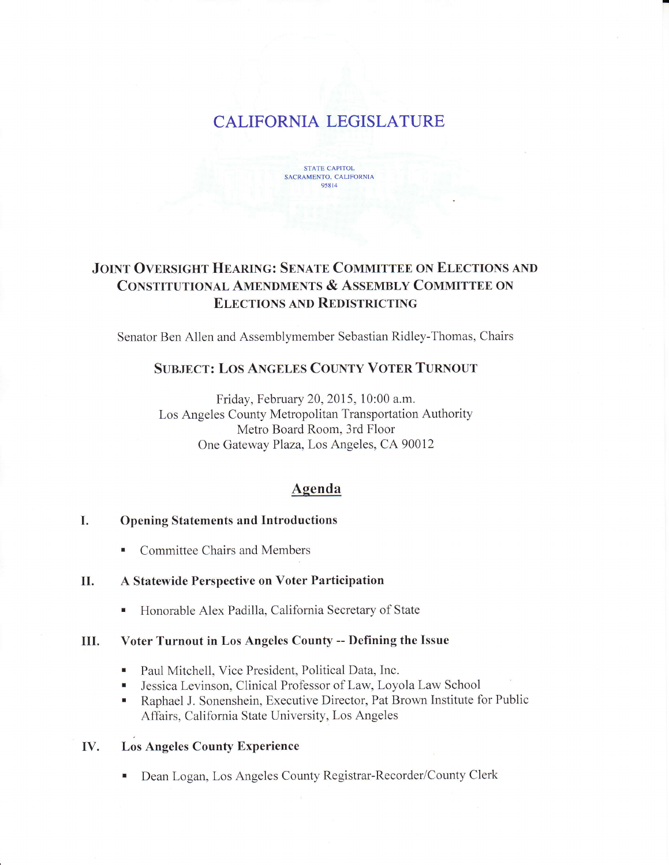# CALIFORNIA LEGISLATURE



# JOINT OVERSIGHT HEARING: SENATE COMMITTEE ON ELECTIONS AND CONSTITUTIONAL AMENDMENTS & ASSEMBLY COMMITTEE ON **ELECTIONS AND REDISTRICTING**

Senator Ben Allen and Assemblymember Sebastian Ridley-Thomas, Chairs

# SUBJECT: LOS ANGELES COUNTY VOTER TURNOUT

Friday, February 20, 2015, 10:00 a.m. Los Angeles County Metropolitan Transportation Authority Metro Board Room, 3rd Floor One Gateway Plaza, Los Angeles, CA 90012

## Agenda

#### I. Opening Statements and Introductions

• Committee Chairs and Members

#### U. A Statewide Perspective on Voter Participation

. Honorable Alex Padilla, California Secretary of State

## III. Voter Turnout in Los Angeles County -- Defining the Issue

- . Paul Mitchell, Vice President, Political Data, Inc.
- . Jessica Levinson, Ciinical Professor of Law, Loyola Law School
- . Raphael J. Sonenshein, Executive Director, Pat Brown Institute for Public Affairs, California State University, Los Angeles

#### W. Los Angeles County Experience

. Dean Logan, Los Angeles County Registrar-Recorder/County Clerk